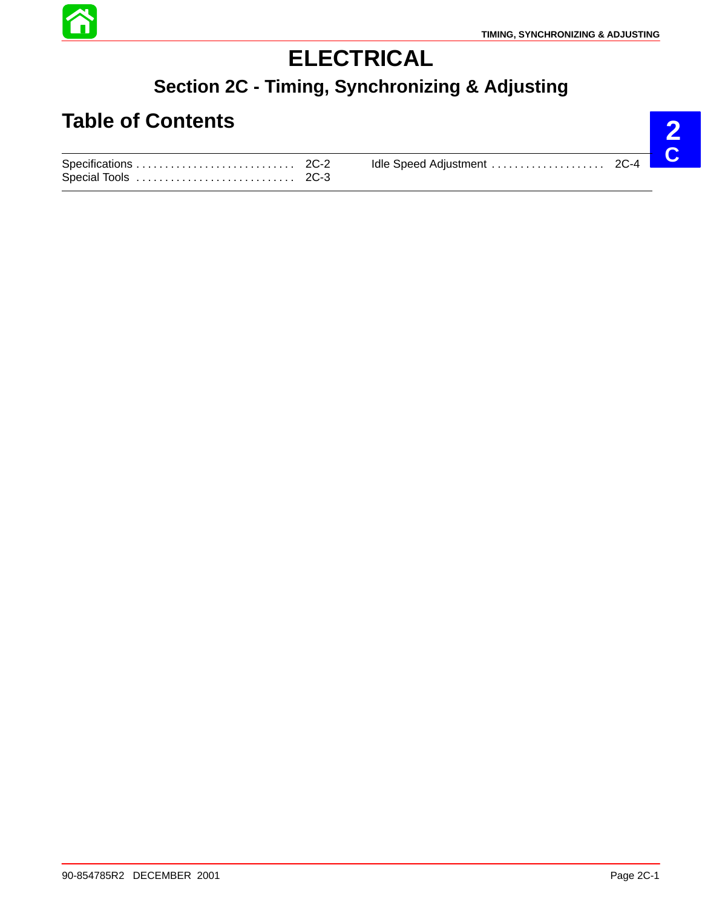

**2**

# **ELECTRICAL**

### **Section 2C - Timing, Synchronizing & Adjusting**

## **Table of Contents**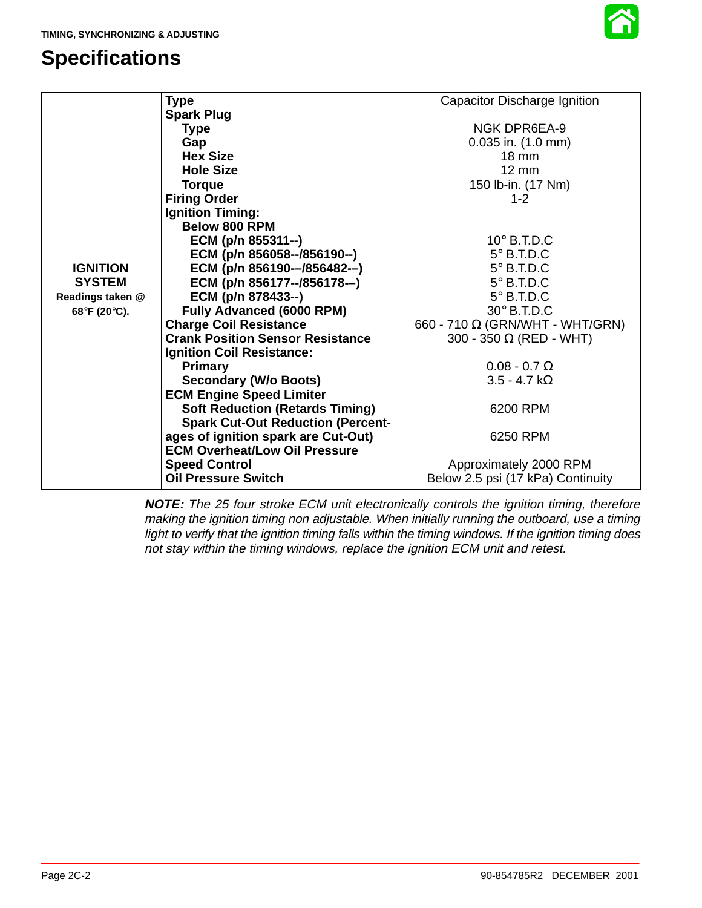### **Specifications**



|                  | <b>Type</b>                              | Capacitor Discharge Ignition           |
|------------------|------------------------------------------|----------------------------------------|
|                  | <b>Spark Plug</b>                        |                                        |
|                  | <b>Type</b>                              | <b>NGK DPR6EA-9</b>                    |
|                  | Gap                                      | $0.035$ in. $(1.0$ mm)                 |
|                  | <b>Hex Size</b>                          | $18 \text{ mm}$                        |
|                  | <b>Hole Size</b>                         | $12 \text{ mm}$                        |
|                  | <b>Torque</b>                            | 150 lb-in. (17 Nm)                     |
|                  | <b>Firing Order</b>                      | $1 - 2$                                |
|                  | <b>Ignition Timing:</b>                  |                                        |
|                  | Below 800 RPM                            |                                        |
|                  | ECM (p/n 855311--)                       | $10^\circ$ B.T.D.C                     |
|                  | ECM (p/n 856058--/856190--)              | $5^\circ$ B.T.D.C                      |
| <b>IGNITION</b>  | ECM (p/n 856190--/856482--)              | $5^\circ$ B.T.D.C                      |
| <b>SYSTEM</b>    | ECM (p/n 856177--/856178--)              | $5^\circ$ B.T.D.C                      |
| Readings taken @ | ECM (p/n 878433--)                       | $5^\circ$ B.T.D.C                      |
| 68°F (20°C).     | Fully Advanced (6000 RPM)                | $30^\circ$ B.T.D.C                     |
|                  | <b>Charge Coil Resistance</b>            | 660 - 710 $\Omega$ (GRN/WHT - WHT/GRN) |
|                  | <b>Crank Position Sensor Resistance</b>  | 300 - 350 $\Omega$ (RED - WHT)         |
|                  | <b>Ignition Coil Resistance:</b>         |                                        |
|                  | <b>Primary</b>                           | $0.08 - 0.7 \Omega$                    |
|                  | <b>Secondary (W/o Boots)</b>             | $3.5 - 4.7 k\Omega$                    |
|                  | <b>ECM Engine Speed Limiter</b>          |                                        |
|                  | <b>Soft Reduction (Retards Timing)</b>   | 6200 RPM                               |
|                  | <b>Spark Cut-Out Reduction (Percent-</b> |                                        |
|                  | ages of ignition spark are Cut-Out)      | 6250 RPM                               |
|                  | <b>ECM Overheat/Low Oil Pressure</b>     |                                        |
|                  | <b>Speed Control</b>                     | Approximately 2000 RPM                 |
|                  | Oil Pressure Switch                      | Below 2.5 psi (17 kPa) Continuity      |

**NOTE:** The 25 four stroke ECM unit electronically controls the ignition timing, therefore making the ignition timing non adjustable. When initially running the outboard, use a timing light to verify that the ignition timing falls within the timing windows. If the ignition timing does not stay within the timing windows, replace the ignition ECM unit and retest.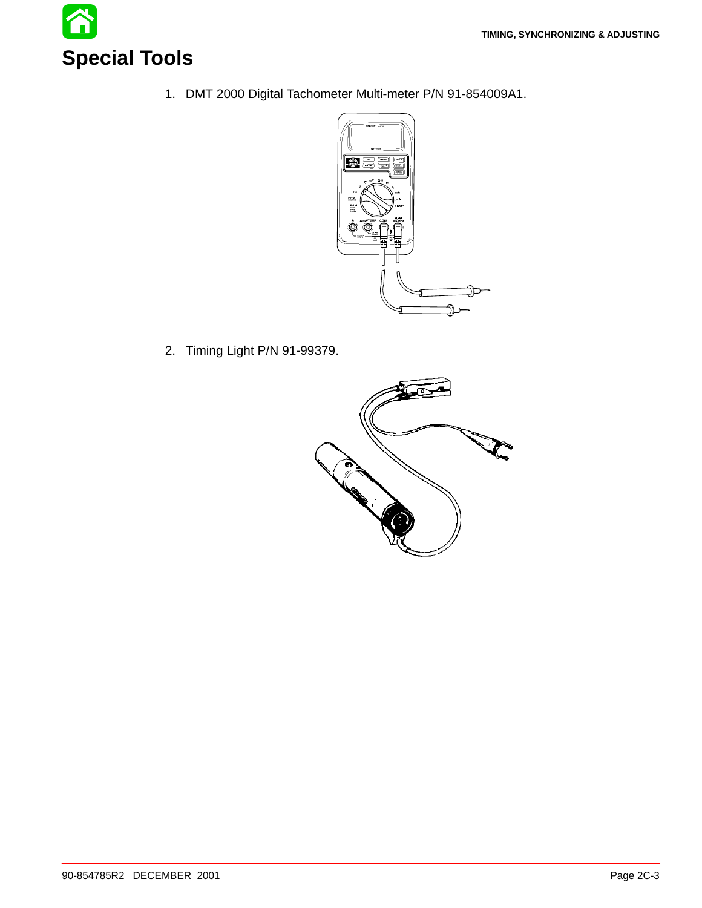

1. DMT 2000 Digital Tachometer Multi-meter P/N 91-854009A1.



2. Timing Light P/N 91-99379.